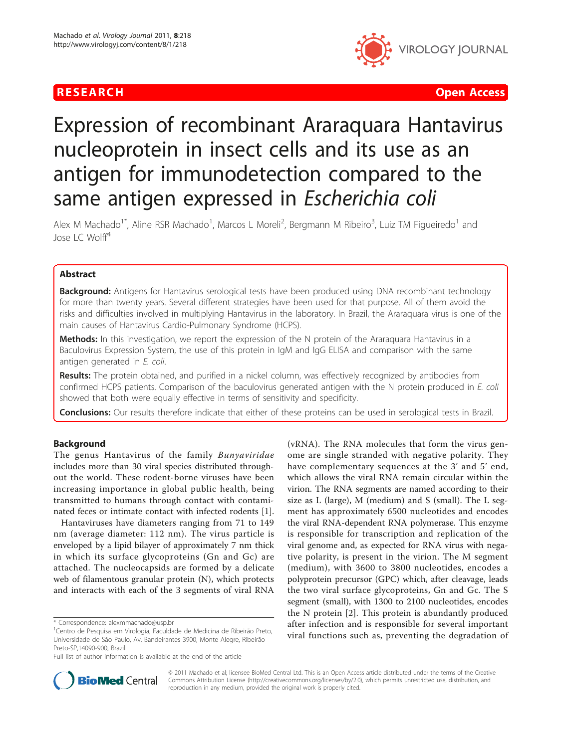

**RESEARCH Open Access Contract Contract Contract Contract Contract Contract Contract Contract Contract Contract Contract Contract Contract Contract Contract Contract Contract Contract Contract Contract Contract Contract** 

# Expression of recombinant Araraquara Hantavirus nucleoprotein in insect cells and its use as an antigen for immunodetection compared to the same antigen expressed in Escherichia coli

Alex M Machado<sup>1\*</sup>, Aline RSR Machado<sup>1</sup>, Marcos L Moreli<sup>2</sup>, Bergmann M Ribeiro<sup>3</sup>, Luiz TM Figueiredo<sup>1</sup> and Jose LC Wolff<sup>4</sup>

# Abstract

Background: Antigens for Hantavirus serological tests have been produced using DNA recombinant technology for more than twenty years. Several different strategies have been used for that purpose. All of them avoid the risks and difficulties involved in multiplying Hantavirus in the laboratory. In Brazil, the Araraquara virus is one of the main causes of Hantavirus Cardio-Pulmonary Syndrome (HCPS).

Methods: In this investigation, we report the expression of the N protein of the Araraquara Hantavirus in a Baculovirus Expression System, the use of this protein in IgM and IgG ELISA and comparison with the same antigen generated in E. coli.

Results: The protein obtained, and purified in a nickel column, was effectively recognized by antibodies from confirmed HCPS patients. Comparison of the baculovirus generated antigen with the N protein produced in E. coli showed that both were equally effective in terms of sensitivity and specificity.

Conclusions: Our results therefore indicate that either of these proteins can be used in serological tests in Brazil.

# Background

The genus Hantavirus of the family Bunyaviridae includes more than 30 viral species distributed throughout the world. These rodent-borne viruses have been increasing importance in global public health, being transmitted to humans through contact with contaminated feces or intimate contact with infected rodents [\[1](#page-6-0)].

Hantaviruses have diameters ranging from 71 to 149 nm (average diameter: 112 nm). The virus particle is enveloped by a lipid bilayer of approximately 7 nm thick in which its surface glycoproteins (Gn and Gc) are attached. The nucleocapsids are formed by a delicate web of filamentous granular protein (N), which protects and interacts with each of the 3 segments of viral RNA

(vRNA). The RNA molecules that form the virus genome are single stranded with negative polarity. They have complementary sequences at the 3' and 5' end, which allows the viral RNA remain circular within the virion. The RNA segments are named according to their size as L (large), M (medium) and S (small). The L segment has approximately 6500 nucleotides and encodes the viral RNA-dependent RNA polymerase. This enzyme is responsible for transcription and replication of the viral genome and, as expected for RNA virus with negative polarity, is present in the virion. The M segment (medium), with 3600 to 3800 nucleotides, encodes a polyprotein precursor (GPC) which, after cleavage, leads the two viral surface glycoproteins, Gn and Gc. The S segment (small), with 1300 to 2100 nucleotides, encodes the N protein [\[2](#page-6-0)]. This protein is abundantly produced after infection and is responsible for several important viral functions such as, preventing the degradation of



© 2011 Machado et al; licensee BioMed Central Ltd. This is an Open Access article distributed under the terms of the Creative Commons Attribution License [\(http://creativecommons.org/licenses/by/2.0](http://creativecommons.org/licenses/by/2.0)), which permits unrestricted use, distribution, and reproduction in any medium, provided the original work is properly cited.

<sup>\*</sup> Correspondence: [alexmmachado@usp.br](mailto:alexmmachado@usp.br)

<sup>&</sup>lt;sup>1</sup>Centro de Pesquisa em Virologia, Faculdade de Medicina de Ribeirão Preto, Universidade de São Paulo, Av. Bandeirantes 3900, Monte Alegre, Ribeirão Preto-SP,14090-900, Brazil

Full list of author information is available at the end of the article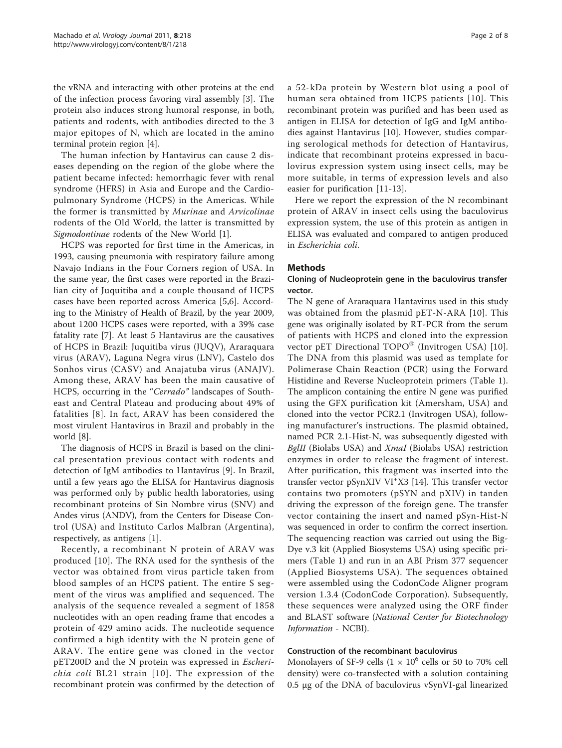the vRNA and interacting with other proteins at the end of the infection process favoring viral assembly [\[3](#page-6-0)]. The protein also induces strong humoral response, in both, patients and rodents, with antibodies directed to the 3 major epitopes of N, which are located in the amino terminal protein region [[4\]](#page-6-0).

The human infection by Hantavirus can cause 2 diseases depending on the region of the globe where the patient became infected: hemorrhagic fever with renal syndrome (HFRS) in Asia and Europe and the Cardiopulmonary Syndrome (HCPS) in the Americas. While the former is transmitted by Murinae and Arvicolinae rodents of the Old World, the latter is transmitted by Sigmodontinae rodents of the New World [\[1](#page-6-0)].

HCPS was reported for first time in the Americas, in 1993, causing pneumonia with respiratory failure among Navajo Indians in the Four Corners region of USA. In the same year, the first cases were reported in the Brazilian city of Juquitiba and a couple thousand of HCPS cases have been reported across America [[5,6\]](#page-6-0). According to the Ministry of Health of Brazil, by the year 2009, about 1200 HCPS cases were reported, with a 39% case fatality rate [[7](#page-6-0)]. At least 5 Hantavirus are the causatives of HCPS in Brazil: Juquitiba virus (JUQV), Araraquara virus (ARAV), Laguna Negra virus (LNV), Castelo dos Sonhos virus (CASV) and Anajatuba virus (ANAJV). Among these, ARAV has been the main causative of HCPS, occurring in the "Cerrado" landscapes of Southeast and Central Plateau and producing about 49% of fatalities [[8](#page-6-0)]. In fact, ARAV has been considered the most virulent Hantavirus in Brazil and probably in the world [\[8](#page-6-0)].

The diagnosis of HCPS in Brazil is based on the clinical presentation previous contact with rodents and detection of IgM antibodies to Hantavírus [\[9](#page-6-0)]. In Brazil, until a few years ago the ELISA for Hantavirus diagnosis was performed only by public health laboratories, using recombinant proteins of Sin Nombre virus (SNV) and Andes virus (ANDV), from the Centers for Disease Control (USA) and Instituto Carlos Malbran (Argentina), respectively, as antigens [[1\]](#page-6-0).

Recently, a recombinant N protein of ARAV was produced [[10\]](#page-6-0). The RNA used for the synthesis of the vector was obtained from virus particle taken from blood samples of an HCPS patient. The entire S segment of the virus was amplified and sequenced. The analysis of the sequence revealed a segment of 1858 nucleotides with an open reading frame that encodes a protein of 429 amino acids. The nucleotide sequence confirmed a high identity with the N protein gene of ARAV. The entire gene was cloned in the vector pET200D and the N protein was expressed in Escherichia coli BL21 strain [[10\]](#page-6-0). The expression of the recombinant protein was confirmed by the detection of a 52-kDa protein by Western blot using a pool of human sera obtained from HCPS patients [[10\]](#page-6-0). This recombinant protein was purified and has been used as antigen in ELISA for detection of IgG and IgM antibodies against Hantavirus [\[10](#page-6-0)]. However, studies comparing serological methods for detection of Hantavirus, indicate that recombinant proteins expressed in baculovirus expression system using insect cells, may be more suitable, in terms of expression levels and also easier for purification [[11-13](#page-6-0)].

Here we report the expression of the N recombinant protein of ARAV in insect cells using the baculovirus expression system, the use of this protein as antigen in ELISA was evaluated and compared to antigen produced in Escherichia coli.

### Methods

# Cloning of Nucleoprotein gene in the baculovirus transfer vector.

The N gene of Araraquara Hantavirus used in this study was obtained from the plasmid pET-N-ARA [[10\]](#page-6-0). This gene was originally isolated by RT-PCR from the serum of patients with HCPS and cloned into the expression vector pET Directional TOPO® (Invitrogen USA) [[10](#page-6-0)]. The DNA from this plasmid was used as template for Polimerase Chain Reaction (PCR) using the Forward Histidine and Reverse Nucleoprotein primers (Table [1](#page-2-0)). The amplicon containing the entire N gene was purified using the GFX purification kit (Amersham, USA) and cloned into the vector PCR2.1 (Invitrogen USA), following manufacturer's instructions. The plasmid obtained, named PCR 2.1-Hist-N, was subsequently digested with BglII (Biolabs USA) and *XmaI* (Biolabs USA) restriction enzymes in order to release the fragment of interest. After purification, this fragment was inserted into the transfer vector pSynXIV VI<sup>+</sup> X3 [\[14](#page-6-0)]. This transfer vector contains two promoters (pSYN and pXIV) in tanden driving the expresson of the foreign gene. The transfer vector containing the insert and named pSyn-Hist-N was sequenced in order to confirm the correct insertion. The sequencing reaction was carried out using the Big-Dye v.3 kit (Applied Biosystems USA) using specific primers (Table [1](#page-2-0)) and run in an ABI Prism 377 sequencer (Applied Biosystems USA). The sequences obtained were assembled using the CodonCode Aligner program version 1.3.4 (CodonCode Corporation). Subsequently, these sequences were analyzed using the ORF finder and BLAST software (National Center for Biotechnology Information - NCBI).

# Construction of the recombinant baculovirus

Monolayers of SF-9 cells  $(1 \times 10^6$  cells or 50 to 70% cell density) were co-transfected with a solution containing 0.5 μg of the DNA of baculovirus vSynVI-gal linearized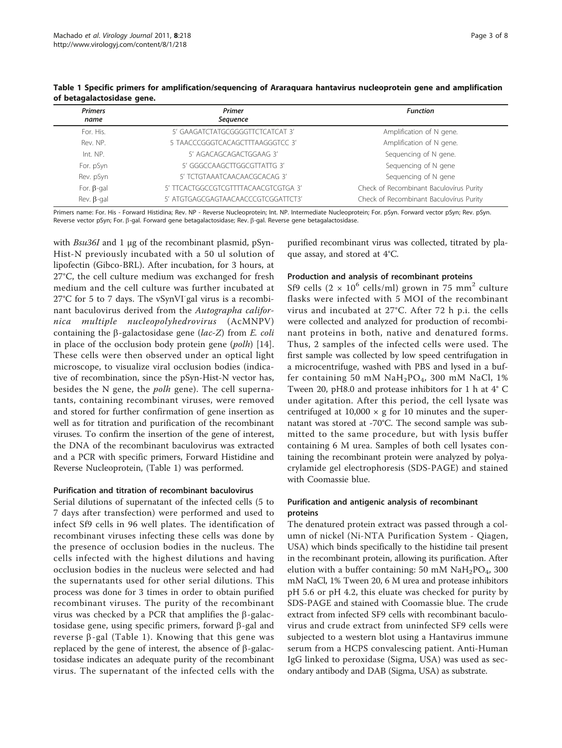| <b>Primers</b>    | Primer                               | <b>Function</b>                         |  |  |  |  |
|-------------------|--------------------------------------|-----------------------------------------|--|--|--|--|
| name              | Sequence                             |                                         |  |  |  |  |
| For. His.         | 5' GAAGATCTATGCGGGGTTCTCATCAT 3'     | Amplification of N gene.                |  |  |  |  |
| Rev. NP.          | 5 TAACCCGGGTCACAGCTTTAAGGGTCC 3'     | Amplification of N gene.                |  |  |  |  |
| Int. NP.          | 5' AGACAGCAGACTGGAAG 3'              | Sequencing of N gene.                   |  |  |  |  |
| For. pSyn         | 5' GGGCCAAGCTTGGCGTTATTG 3'          | Sequencing of N gene                    |  |  |  |  |
| Rev. pSyn         | 5' TCTGTAAATCAACAACGCACAG 3'         | Sequencing of N gene                    |  |  |  |  |
| For. $\beta$ -gal | 5' TTCACTGGCCGTCGTTTTACAACGTCGTGA 3' | Check of Recombinant Baculovírus Purity |  |  |  |  |
| Rev. $\beta$ -gal | 5' ATGTGAGCGAGTAACAACCCGTCGGATTCT3'  | Check of Recombinant Baculovírus Purity |  |  |  |  |

<span id="page-2-0"></span>Table 1 Specific primers for amplification/sequencing of Araraquara hantavirus nucleoprotein gene and amplification of betagalactosidase gene.

Primers name: For. His - Forward Histidina; Rev. NP - Reverse Nucleoprotein; Int. NP. Intermediate Nucleoprotein; For. pSyn. Forward vector pSyn; Rev. pSyn. Reverse vector pSyn; For. b-gal. Forward gene betagalactosidase; Rev. b-gal. Reverse gene betagalactosidase.

with Bsu36I and 1 μg of the recombinant plasmid, pSyn-Hist-N previously incubated with a 50 ul solution of lipofectin (Gibco-BRL). After incubation, for 3 hours, at 27°C, the cell culture medium was exchanged for fresh medium and the cell culture was further incubated at 27°C for 5 to 7 days. The vSynVI-gal virus is a recombinant baculovirus derived from the Autographa californica multiple nucleopolyhedrovirus (AcMNPV) containing the  $\beta$ -galactosidase gene (lac-Z) from E. coli in place of the occlusion body protein gene (polh) [\[14](#page-6-0)]. These cells were then observed under an optical light microscope, to visualize viral occlusion bodies (indicative of recombination, since the pSyn-Hist-N vector has, besides the N gene, the polh gene). The cell supernatants, containing recombinant viruses, were removed and stored for further confirmation of gene insertion as well as for titration and purification of the recombinant viruses. To confirm the insertion of the gene of interest, the DNA of the recombinant baculovirus was extracted and a PCR with specific primers, Forward Histidine and Reverse Nucleoprotein, (Table 1) was performed.

#### Purification and titration of recombinant baculovirus

Serial dilutions of supernatant of the infected cells (5 to 7 days after transfection) were performed and used to infect Sf9 cells in 96 well plates. The identification of recombinant viruses infecting these cells was done by the presence of occlusion bodies in the nucleus. The cells infected with the highest dilutions and having occlusion bodies in the nucleus were selected and had the supernatants used for other serial dilutions. This process was done for 3 times in order to obtain purified recombinant viruses. The purity of the recombinant virus was checked by a PCR that amplifies the  $\beta$ -galactosidase gene, using specific primers, forward  $\beta$ -gal and reverse  $\beta$ -gal (Table 1). Knowing that this gene was replaced by the gene of interest, the absence of  $\beta$ -galactosidase indicates an adequate purity of the recombinant virus. The supernatant of the infected cells with the

purified recombinant virus was collected, titrated by plaque assay, and stored at 4°C.

# Production and analysis of recombinant proteins

Sf9 cells  $(2 \times 10^6 \text{ cells/ml})$  grown in 75 mm<sup>2</sup> culture flasks were infected with 5 MOI of the recombinant virus and incubated at 27°C. After 72 h p.i. the cells were collected and analyzed for production of recombinant proteins in both, native and denatured forms. Thus, 2 samples of the infected cells were used. The first sample was collected by low speed centrifugation in a microcentrifuge, washed with PBS and lysed in a buffer containing 50 mM  $\text{NaH}_2\text{PO}_4$ , 300 mM NaCl, 1% Tween 20, pH8.0 and protease inhibitors for 1 h at 4° C under agitation. After this period, the cell lysate was centrifuged at  $10,000 \times g$  for 10 minutes and the supernatant was stored at -70°C. The second sample was submitted to the same procedure, but with lysis buffer containing 6 M urea. Samples of both cell lysates containing the recombinant protein were analyzed by polyacrylamide gel electrophoresis (SDS-PAGE) and stained with Coomassie blue.

# Purification and antigenic analysis of recombinant proteins

The denatured protein extract was passed through a column of nickel (Ni-NTA Purification System - Qiagen, USA) which binds specifically to the histidine tail present in the recombinant protein, allowing its purification. After elution with a buffer containing: 50 mM  $\text{NaH}_2\text{PO}_4$ , 300 mM NaCl, 1% Tween 20, 6 M urea and protease inhibitors pH 5.6 or pH 4.2, this eluate was checked for purity by SDS-PAGE and stained with Coomassie blue. The crude extract from infected SF9 cells with recombinant baculovirus and crude extract from uninfected SF9 cells were subjected to a western blot using a Hantavirus immune serum from a HCPS convalescing patient. Anti-Human IgG linked to peroxidase (Sigma, USA) was used as secondary antibody and DAB (Sigma, USA) as substrate.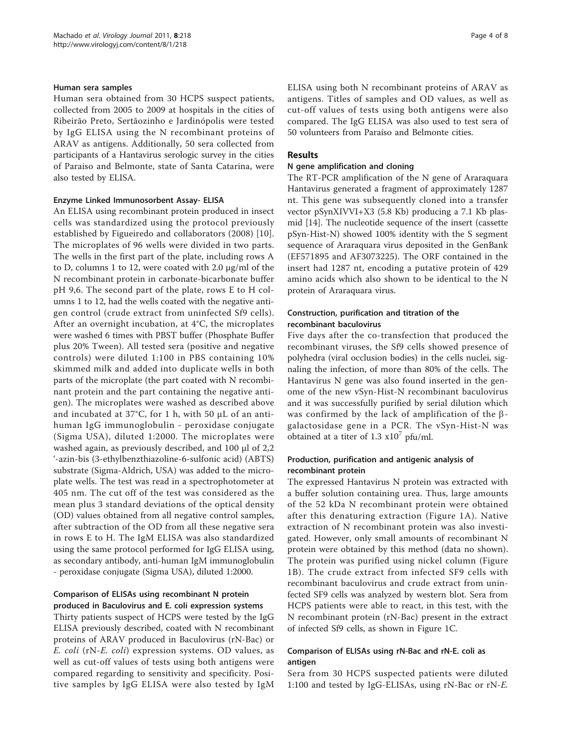#### Human sera samples

Human sera obtained from 30 HCPS suspect patients, collected from 2005 to 2009 at hospitals in the cities of Ribeirão Preto, Sertãozinho e Jardinópolis were tested by IgG ELISA using the N recombinant proteins of ARAV as antigens. Additionally, 50 sera collected from participants of a Hantavirus serologic survey in the cities of Paraiso and Belmonte, state of Santa Catarina, were also tested by ELISA.

#### Enzyme Linked Immunosorbent Assay- ELISA

An ELISA using recombinant protein produced in insect cells was standardized using the protocol previously established by Figueiredo and collaborators (2008) [[10](#page-6-0)]. The microplates of 96 wells were divided in two parts. The wells in the first part of the plate, including rows A to D, columns 1 to 12, were coated with 2.0 μg/ml of the N recombinant protein in carbonate-bicarbonate buffer pH 9,6. The second part of the plate, rows E to H columns 1 to 12, had the wells coated with the negative antigen control (crude extract from uninfected Sf9 cells). After an overnight incubation, at 4°C, the microplates were washed 6 times with PBST buffer (Phosphate Buffer plus 20% Tween). All tested sera (positive and negative controls) were diluted 1:100 in PBS containing 10% skimmed milk and added into duplicate wells in both parts of the microplate (the part coated with N recombinant protein and the part containing the negative antigen). The microplates were washed as described above and incubated at 37°C, for 1 h, with 50 μL of an antihuman IgG immunoglobulin - peroxidase conjugate (Sigma USA), diluted 1:2000. The microplates were washed again, as previously described, and 100 μl of 2,2 '-azin-bis (3-ethylbenzthiazoline-6-sulfonic acid) (ABTS) substrate (Sigma-Aldrich, USA) was added to the microplate wells. The test was read in a spectrophotometer at 405 nm. The cut off of the test was considered as the mean plus 3 standard deviations of the optical density (OD) values obtained from all negative control samples, after subtraction of the OD from all these negative sera in rows E to H. The IgM ELISA was also standardized using the same protocol performed for IgG ELISA using, as secondary antibody, anti-human IgM immunoglobulin - peroxidase conjugate (Sigma USA), diluted 1:2000.

# Comparison of ELISAs using recombinant N protein produced in Baculovirus and E. coli expression systems

Thirty patients suspect of HCPS were tested by the IgG ELISA previously described, coated with N recombinant proteins of ARAV produced in Baculovirus (rN-Bac) or E. coli (rN-E. coli) expression systems. OD values, as well as cut-off values of tests using both antigens were compared regarding to sensitivity and specificity. Positive samples by IgG ELISA were also tested by IgM ELISA using both N recombinant proteins of ARAV as antigens. Titles of samples and OD values, as well as cut-off values of tests using both antigens were also compared. The IgG ELISA was also used to test sera of 50 volunteers from Paraíso and Belmonte cities.

#### Results

#### N gene amplification and cloning

The RT-PCR amplification of the N gene of Araraquara Hantavirus generated a fragment of approximately 1287 nt. This gene was subsequently cloned into a transfer vector pSynXIVVI+X3 (5.8 Kb) producing a 7.1 Kb plasmid [[14\]](#page-6-0). The nucleotide sequence of the insert (cassette pSyn-Hist-N) showed 100% identity with the S segment sequence of Araraquara virus deposited in the GenBank ([EF571895](http://www.ncbi.nih.gov/entrez/query.fcgi?db=Nucleotide&cmd=search&term=EF571895) and [AF3073225](http://www.ncbi.nih.gov/entrez/query.fcgi?db=Nucleotide&cmd=search&term=AF3073225)). The ORF contained in the insert had 1287 nt, encoding a putative protein of 429 amino acids which also shown to be identical to the N protein of Araraquara virus.

# Construction, purification and titration of the recombinant baculovirus

Five days after the co-transfection that produced the recombinant viruses, the Sf9 cells showed presence of polyhedra (viral occlusion bodies) in the cells nuclei, signaling the infection, of more than 80% of the cells. The Hantavirus N gene was also found inserted in the genome of the new vSyn-Hist-N recombinant baculovirus and it was successfully purified by serial dilution which was confirmed by the lack of amplification of the  $\beta$ galactosidase gene in a PCR. The vSyn-Hist-N was obtained at a titer of  $1.3 \times 10^7$  pfu/ml.

# Production, purification and antigenic analysis of recombinant protein

The expressed Hantavirus N protein was extracted with a buffer solution containing urea. Thus, large amounts of the 52 kDa N recombinant protein were obtained after this denaturing extraction (Figure [1A\)](#page-4-0). Native extraction of N recombinant protein was also investigated. However, only small amounts of recombinant N protein were obtained by this method (data no shown). The protein was purified using nickel column (Figure [1B](#page-4-0)). The crude extract from infected SF9 cells with recombinant baculovirus and crude extract from uninfected SF9 cells was analyzed by western blot. Sera from HCPS patients were able to react, in this test, with the N recombinant protein (rN-Bac) present in the extract of infected Sf9 cells, as shown in Figure [1C.](#page-4-0)

# Comparison of ELISAs using rN-Bac and rN-E. coli as antigen

Sera from 30 HCPS suspected patients were diluted 1:100 and tested by IgG-ELISAs, using rN-Bac or rN-E.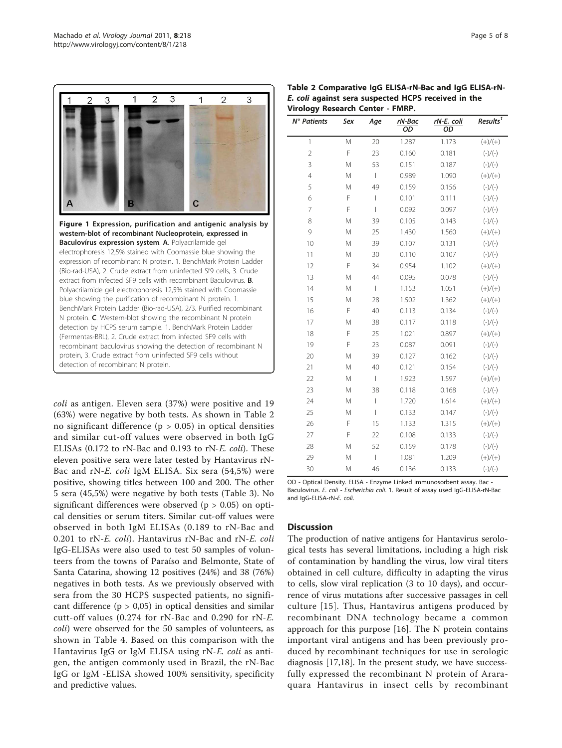<span id="page-4-0"></span>

coli as antigen. Eleven sera (37%) were positive and 19 (63%) were negative by both tests. As shown in Table 2 no significant difference ( $p > 0.05$ ) in optical densities and similar cut-off values were observed in both IgG ELISAs (0.172 to rN-Bac and 0.193 to rN-E. coli). These eleven positive sera were later tested by Hantavirus rN-Bac and rN-E. coli IgM ELISA. Six sera (54,5%) were positive, showing titles between 100 and 200. The other 5 sera (45,5%) were negative by both tests (Table [3](#page-5-0)). No significant differences were observed ( $p > 0.05$ ) on optical densities or serum titers. Similar cut-off values were observed in both IgM ELISAs (0.189 to rN-Bac and 0.201 to rN-E. coli). Hantavirus rN-Bac and rN-E. coli IgG-ELISAs were also used to test 50 samples of volunteers from the towns of Paraíso and Belmonte, State of Santa Catarina, showing 12 positives (24%) and 38 (76%) negatives in both tests. As we previously observed with sera from the 30 HCPS suspected patients, no significant difference  $(p > 0.05)$  in optical densities and similar cutt-off values (0.274 for rN-Bac and 0.290 for rN-E. coli) were observed for the 50 samples of volunteers, as shown in Table [4.](#page-5-0) Based on this comparison with the Hantavirus IgG or IgM ELISA using rN-E. coli as antigen, the antigen commonly used in Brazil, the rN-Bac IgG or IgM -ELISA showed 100% sensitivity, specificity and predictive values.

| Table 2 Comparative IgG ELISA-rN-Bac and IgG ELISA-rN- |
|--------------------------------------------------------|
| E. coli against sera suspected HCPS received in the    |
| Virology Research Center - FMRP.                       |

| N° Patients    | Sex | Age                      | rN-Bac<br>OD | rN-E. coli<br>OD | Results <sup>1</sup> |
|----------------|-----|--------------------------|--------------|------------------|----------------------|
| 1              | M   | 20                       | 1.287        | 1.173            | $(+)/(+)$            |
| $\overline{2}$ | F   | 23                       | 0.160        | 0.181            | $(-)/(-)$            |
| 3              | M   | 53                       | 0.151        | 0.187            | $(-)/(-)$            |
| $\overline{4}$ | M   | $\overline{\phantom{a}}$ | 0.989        | 1.090            | $(+)/(+)$            |
| 5              | M   | 49                       | 0.159        | 0.156            | $(-)/(-)$            |
| 6              | F   | I                        | 0.101        | 0.111            | $(-)/(-)$            |
| 7              | F   | I                        | 0.092        | 0.097            | $(-)/(-)$            |
| 8              | M   | 39                       | 0.105        | 0.143            | $(-)/(-)$            |
| 9              | M   | 25                       | 1.430        | 1.560            | $(+)/(+)$            |
| 10             | M   | 39                       | 0.107        | 0.131            | $(-)/(-)$            |
| 11             | M   | 30                       | 0.110        | 0.107            | $(-)/(-)$            |
| 12             | F   | 34                       | 0.954        | 1.102            | $(+)/(+)$            |
| 13             | M   | 44                       | 0.095        | 0.078            | $(-)/(-)$            |
| 14             | M   | I                        | 1.153        | 1.051            | $(+)/(+)$            |
| 15             | M   | 28                       | 1.502        | 1.362            | $(+)/(+)$            |
| 16             | F   | 40                       | 0.113        | 0.134            | $(-)/(-)$            |
| 17             | M   | 38                       | 0.117        | 0.118            | $(-)/(-)$            |
| 18             | F   | 25                       | 1.021        | 0.897            | $(+)/(+)$            |
| 19             | F   | 23                       | 0.087        | 0.091            | $(-)/(-)$            |
| 20             | M   | 39                       | 0.127        | 0.162            | $(-)/(-)$            |
| 21             | M   | 40                       | 0.121        | 0.154            | $(-)/(-)$            |
| 22             | M   | I                        | 1.923        | 1.597            | $(+)/(+)$            |
| 23             | M   | 38                       | 0.118        | 0.168            | $(-)/(-)$            |
| 24             | M   | I                        | 1.720        | 1.614            | $(+)/(+)$            |
| 25             | M   | I                        | 0.133        | 0.147            | $(-)/(-)$            |
| 26             | F   | 15                       | 1.133        | 1.315            | $(+)/(+)$            |
| 27             | F   | 22                       | 0.108        | 0.133            | $(-)/(-)$            |
| 28             | M   | 52                       | 0.159        | 0.178            | $(-)/(-)$            |
| 29             | M   | I                        | 1.081        | 1.209            | $(+)/(+)$            |
| 30             | M   | 46                       | 0.136        | 0.133            | $(-)/(-)$            |

OD - Optical Density. ELISA - Enzyme Linked immunosorbent assay. Bac - Baculovirus. E. coli - Escherichia coli. 1. Result of assay used IgG-ELISA-rN-Bac and IgG-ELISA-rN-E. coli.

# **Discussion**

The production of native antigens for Hantavirus serological tests has several limitations, including a high risk of contamination by handling the virus, low viral titers obtained in cell culture, difficulty in adapting the virus to cells, slow viral replication (3 to 10 days), and occurrence of virus mutations after successive passages in cell culture [[15\]](#page-6-0). Thus, Hantavirus antigens produced by recombinant DNA technology became a common approach for this purpose [\[16](#page-6-0)]. The N protein contains important viral antigens and has been previously produced by recombinant techniques for use in serologic diagnosis [[17,18\]](#page-6-0). In the present study, we have successfully expressed the recombinant N protein of Araraquara Hantavirus in insect cells by recombinant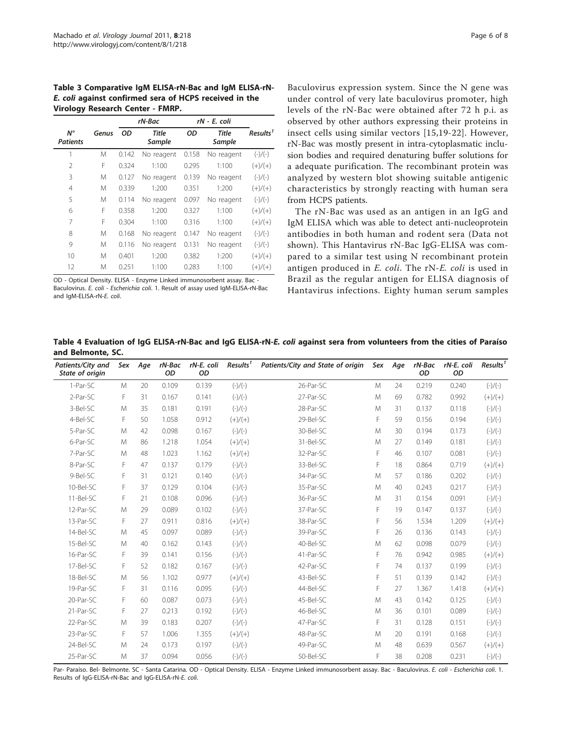<span id="page-5-0"></span>Table 3 Comparative IgM ELISA-rN-Bac and IgM ELISA-rN-E. coli against confirmed sera of HCPS received in the Virology Research Center - FMRP.

|                                |       |       | rN-Bac                 | rN - E. coli |                        |                      |
|--------------------------------|-------|-------|------------------------|--------------|------------------------|----------------------|
| $N^{\circ}$<br><b>Patients</b> | Genus | OD    | <b>Title</b><br>Sample | OD           | <b>Title</b><br>Sample | Results <sup>1</sup> |
| 1                              | M     | 0.142 | No reagent             | 0.158        | No reagent             | $(-)/(-)$            |
| 2                              | F     | 0.324 | 1:100                  | 0.295        | 1:100                  | $(+)/(+)$            |
| 3                              | M     | 0.127 | No reagent             | 0.139        | No reagent             | $(-)/(-)$            |
| 4                              | M     | 0.339 | 1:200                  | 0.351        | 1:200                  | $(+)/(+)$            |
| 5                              | M     | 0.114 | No reagent             | 0.097        | No reagent             | $(-)/(-)$            |
| 6                              | F     | 0.358 | 1:200                  | 0.327        | 1:100                  | $(+)/(+)$            |
| 7                              | F     | 0.304 | 1:100                  | 0.316        | 1:100                  | $(+)/(+)$            |
| 8                              | M     | 0.168 | No reagent             | 0.147        | No reagent             | $(-)/(-)$            |
| 9                              | M     | 0.116 | No reagent             | 0.131        | No reagent             | $(-)/(-)$            |
| 10                             | M     | 0.401 | 1:200                  | 0.382        | 1:200                  | $(+)/(+)$            |
| 12                             | M     | 0.251 | 1:100                  | 0.283        | 1:100                  | $(+)/(+)$            |

OD - Optical Density. ELISA - Enzyme Linked immunosorbent assay. Bac - Baculovirus. E. coli - Escherichia coli. 1. Result of assay used IgM-ELISA-rN-Bac and IgM-ELISA-rN-E. coli.

Baculovirus expression system. Since the N gene was under control of very late baculovirus promoter, high levels of the rN-Bac were obtained after 72 h p.i. as observed by other authors expressing their proteins in insect cells using similar vectors [\[15,19](#page-6-0)-[22](#page-7-0)]. However, rN-Bac was mostly present in intra-cytoplasmatic inclusion bodies and required denaturing buffer solutions for a adequate purification. The recombinant protein was analyzed by western blot showing suitable antigenic characteristics by strongly reacting with human sera from HCPS patients.

The rN-Bac was used as an antigen in an IgG and IgM ELISA which was able to detect anti-nucleoprotein antibodies in both human and rodent sera (Data not shown). This Hantavirus rN-Bac IgG-ELISA was compared to a similar test using N recombinant protein antigen produced in E. coli. The rN-E. coli is used in Brazil as the regular antigen for ELISA diagnosis of Hantavirus infections. Eighty human serum samples

Table 4 Evaluation of IgG ELISA-rN-Bac and IgG ELISA-rN-E. coli against sera from volunteers from the cities of Paraíso and Belmonte, SC.

| Patients/City and<br>State of origin | Sex | Age | rN-Bac<br>OD | rN-E. coli<br>OD | Results <sup>1</sup> | Patients/City and State of origin | Sex | Age | rN-Bac<br>OD | rN-E. coli<br>OD | Results <sup>1</sup> |
|--------------------------------------|-----|-----|--------------|------------------|----------------------|-----------------------------------|-----|-----|--------------|------------------|----------------------|
| 1-Par-SC                             | M   | 20  | 0.109        | 0.139            | $(-)/(-)$            | 26-Par-SC                         | M   | 24  | 0.219        | 0.240            | $(-)/(-)$            |
| 2-Par-SC                             | F   | 31  | 0.167        | 0.141            | $(-)/(-)$            | 27-Par-SC                         | M   | 69  | 0.782        | 0.992            | $(+)/(+)$            |
| 3-Bel-SC                             | M   | 35  | 0.181        | 0.191            | $(-)/(-)$            | 28-Par-SC                         | M   | 31  | 0.137        | 0.118            | $(-)/(-)$            |
| 4-Bel-SC                             | F   | 50  | 1.058        | 0.912            | $(+)/(+)$            | 29-Bel-SC                         | F   | 59  | 0.156        | 0.194            | $(-)/(-)$            |
| 5-Par-SC                             | M   | 42  | 0.098        | 0.167            | $(-)/(-)$            | 30-Bel-SC                         | M   | 30  | 0.194        | 0.173            | $(-)/(-)$            |
| 6-Par-SC                             | M   | 86  | 1.218        | 1.054            | $(+)/(+)$            | 31-Bel-SC                         | M   | 27  | 0.149        | 0.181            | $(-)/(-)$            |
| 7-Par-SC                             | M   | 48  | 1.023        | 1.162            | $(+)/(+)$            | 32-Par-SC                         | F   | 46  | 0.107        | 0.081            | $(-)/(-)$            |
| 8-Par-SC                             | F   | 47  | 0.137        | 0.179            | $(-)/(-)$            | 33-Bel-SC                         | F   | 18  | 0.864        | 0.719            | $(+)/(+)$            |
| 9-Bel-SC                             | F   | 31  | 0.121        | 0.140            | $(-)/(-)$            | 34-Par-SC                         | M   | 57  | 0.186        | 0.202            | $(-)/(-)$            |
| 10-Bel-SC                            | F   | 37  | 0.129        | 0.104            | $(-)/(-)$            | 35-Par-SC                         | M   | 40  | 0.243        | 0.217            | $(-)/(-)$            |
| 11-Bel-SC                            | F   | 21  | 0.108        | 0.096            | $(-)/(-)$            | 36-Par-SC                         | M   | 31  | 0.154        | 0.091            | $(-)/(-)$            |
| 12-Par-SC                            | M   | 29  | 0.089        | 0.102            | $(-)/(-)$            | 37-Par-SC                         | F   | 19  | 0.147        | 0.137            | $(-)/(-)$            |
| 13-Par-SC                            | F   | 27  | 0.911        | 0.816            | $(+)/(+)$            | 38-Par-SC                         | F   | 56  | 1.534        | 1.209            | $(+)/(+)$            |
| 14-Bel-SC                            | M   | 45  | 0.097        | 0.089            | $(-)/(-)$            | 39-Par-SC                         | F   | 26  | 0.136        | 0.143            | $(-)/(-)$            |
| 15-Bel-SC                            | M   | 40  | 0.162        | 0.143            | $(-)/(-)$            | 40-Bel-SC                         | M   | 62  | 0.098        | 0.079            | $(-)/(-)$            |
| 16-Par-SC                            | F   | 39  | 0.141        | 0.156            | $(-)/(-)$            | 41-Par-SC                         | F   | 76  | 0.942        | 0.985            | $(+)/(+)$            |
| 17-Bel-SC                            | F   | 52  | 0.182        | 0.167            | $(-)/(-)$            | 42-Par-SC                         | F   | 74  | 0.137        | 0.199            | $(-)/(-)$            |
| 18-Bel-SC                            | M   | 56  | 1.102        | 0.977            | $(+)/(+)$            | 43-Bel-SC                         | F   | 51  | 0.139        | 0.142            | $(-)/(-)$            |
| 19-Par-SC                            | F   | 31  | 0.116        | 0.095            | $(-)/(-)$            | 44-Bel-SC                         | F   | 27  | 1.367        | 1.418            | $(+)/(+)$            |
| 20-Par-SC                            | F   | 60  | 0.087        | 0.073            | $(-)/(-)$            | 45-Bel-SC                         | M   | 43  | 0.142        | 0.125            | $(-)/(-)$            |
| 21-Par-SC                            | F   | 27  | 0.213        | 0.192            | $(-)/(-)$            | 46-Bel-SC                         | M   | 36  | 0.101        | 0.089            | $(-)/(-)$            |
| 22-Par-SC                            | M   | 39  | 0.183        | 0.207            | $(-)/(-)$            | 47-Par-SC                         | F   | 31  | 0.128        | 0.151            | $(-)/(-)$            |
| 23-Par-SC                            | F   | 57  | 1.006        | 1.355            | $(+)/(+)$            | 48-Par-SC                         | M   | 20  | 0.191        | 0.168            | $(-)/(-)$            |
| 24-Bel-SC                            | M   | 24  | 0.173        | 0.197            | $(-)/(-)$            | 49-Par-SC                         | M   | 48  | 0.639        | 0.567            | $(+)/(+)$            |
| 25-Par-SC                            | M   | 37  | 0.094        | 0.056            | $(-)/(-)$            | 50-Bel-SC                         | F   | 38  | 0.208        | 0.231            | $(-)/(-)$            |

Par- Paraíso. Bel- Belmonte. SC - Santa Catarina. OD - Optical Density. ELISA - Enzyme Linked immunosorbent assay. Bac - Baculovirus. E. coli - Escherichia coli. 1. Results of IgG-ELISA-rN-Bac and IgG-ELISA-rN-E. coli.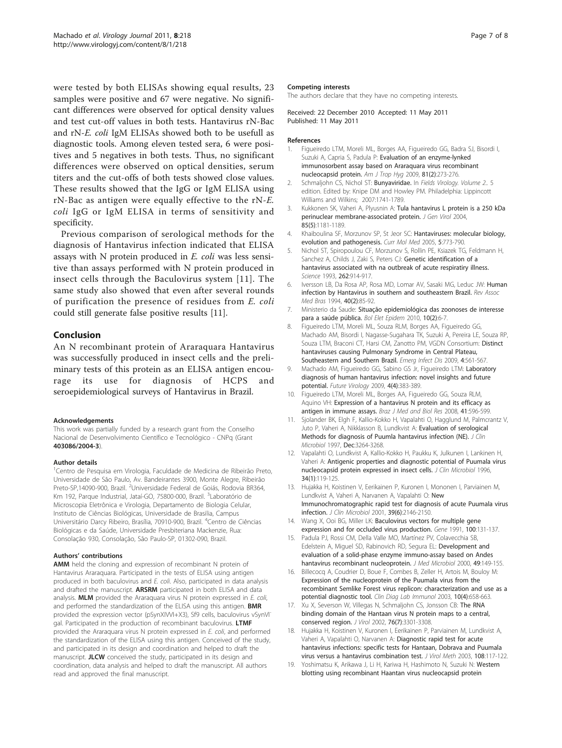<span id="page-6-0"></span>were tested by both ELISAs showing equal results, 23 samples were positive and 67 were negative. No significant differences were observed for optical density values and test cut-off values in both tests. Hantavirus rN-Bac and rN-E. coli IgM ELISAs showed both to be usefull as diagnostic tools. Among eleven tested sera, 6 were positives and 5 negatives in both tests. Thus, no significant differences were observed on optical densities, serum titers and the cut-offs of both tests showed close values. These results showed that the IgG or IgM ELISA using rN-Bac as antigen were equally effective to the rN-E. coli IgG or IgM ELISA in terms of sensitivity and specificity.

Previous comparison of serological methods for the diagnosis of Hantavirus infection indicated that ELISA assays with N protein produced in E. coli was less sensitive than assays performed with N protein produced in insect cells through the Baculovirus system [11]. The same study also showed that even after several rounds of purification the presence of residues from E. coli could still generate false positive results [11].

# Conclusion

An N recombinant protein of Araraquara Hantavirus was successfully produced in insect cells and the preliminary tests of this protein as an ELISA antigen encourage its use for diagnosis of HCPS and seroepidemiological surveys of Hantavirus in Brazil.

#### Acknowledgements

This work was partially funded by a research grant from the Conselho Nacional de Desenvolvimento Científico e Tecnológico - CNPq (Grant 403086/2004-3).

#### Author details

<sup>1</sup>Centro de Pesquisa em Virologia, Faculdade de Medicina de Ribeirão Preto, Universidade de São Paulo, Av. Bandeirantes 3900, Monte Alegre, Ribeirão Preto-SP,14090-900, Brazil. <sup>2</sup>Universidade Federal de Goiás, Rodovia BR364, Km 192, Parque Industrial, Jataí-GO, 75800-000, Brazil. <sup>3</sup>Laboratório de Microscopia Eletrônica e Virologia, Departamento de Biologia Celular, Instituto de Ciências Biológicas, Universidade de Brasilia, Campus Universitário Darcy Ribeiro, Brasília, 70910-900, Brazil. <sup>4</sup>Centro de Ciências Biológicas e da Saúde, Universidade Presbiteriana Mackenzie, Rua: Consolação 930, Consolação, São Paulo-SP, 01302-090, Brazil.

#### Authors' contributions

AMM held the cloning and expression of recombinant N protein of Hantavirus Araraquara. Participated in the tests of ELISA using antigen produced in both baculovirus and E. coli. Also, participated in data analysis and drafted the manuscript. ARSRM participated in both ELISA and data analysis. MLM provided the Araraquara virus N protein expressed in E. coli, and performed the standardization of the ELISA using this antigen. **BMR** provided the expression vector (pSynXIVVI+X3), Sf9 cells, baculovirus vSynVI<sup>-</sup> gal. Participated in the production of recombinant baculovirus. LTMF provided the Araraquara virus N protein expressed in E. coli, and performed the standardization of the ELISA using this antigen. Conceived of the study, and participated in its design and coordination and helped to draft the manuscript. JLCW conceived the study, participated in its design and coordination, data analysis and helped to draft the manuscript. All authors read and approved the final manuscript.

#### Page 7 of 8

#### Competing interests

The authors declare that they have no competing interests.

Received: 22 December 2010 Accepted: 11 May 2011 Published: 11 May 2011

#### References

- 1. Figueiredo LTM, Moreli ML, Borges AA, Figueiredo GG, Badra SJ, Bisordi I, Suzuki A, Capria S, Padula P: Evaluation of an enzyme-lynked immunosorbent assay based on Araraquara virus recombinant nucleocapsid protein. Am J Trop Hyg 2009, 81(2):273-276.
- 2. Schmaliohn CS, Nichol ST: Bunvaviridae. In Fields Virology, Volume 2., 5 edition. Edited by: Knipe DM and Howley PM. Philadelphia: Lippincott Williams and Wilkins; 2007:1741-1789.
- 3. Kukkonen SK, Vaheri A, Plyusnin A: [Tula hantavirus L protein is a 250 kDa](http://www.ncbi.nlm.nih.gov/pubmed/15105534?dopt=Abstract) [perinuclear membrane-associated protein.](http://www.ncbi.nlm.nih.gov/pubmed/15105534?dopt=Abstract) J Gen Virol 2004, 85(5):1181-1189.
- 4. Khaiboulina SF, Morzunov SP, St Jeor SC: [Hantaviruses: molecular biology,](http://www.ncbi.nlm.nih.gov/pubmed/16375712?dopt=Abstract) [evolution and pathogenesis.](http://www.ncbi.nlm.nih.gov/pubmed/16375712?dopt=Abstract) Curr Mol Med 2005, 5:773-790.
- 5. Nichol ST, Spiropoulou CF, Morzunov S, Rollin PE, Ksiazek TG, Feldmann H, Sanchez A, Childs J, Zaki S, Peters CJ: [Genetic identification of a](http://www.ncbi.nlm.nih.gov/pubmed/8235615?dopt=Abstract) [hantavirus associated with na outbreak of acute respiratiry illness.](http://www.ncbi.nlm.nih.gov/pubmed/8235615?dopt=Abstract) Science 1993, 262:914-917.
- 6. Iversson LB, Da Rosa AP, Rosa MD, Lomar AV, Sasaki MG, Leduc JW: [Human](http://www.ncbi.nlm.nih.gov/pubmed/7820156?dopt=Abstract) [infection by Hantavirus in southern and southeastern Brazil.](http://www.ncbi.nlm.nih.gov/pubmed/7820156?dopt=Abstract) Rev Assoc Med Bras 1994, 40(2):85-92.
- 7. Ministerio da Saude: Situação epidemiológica das zoonoses de interesse para a saúde pública. Bol Elet Epidem 2010, 10(2):6-7.
- 8. Figueiredo LTM, Moreli ML, Souza RLM, Borges AA, Figueiredo GG, Machado AM, Bisordi I, Nagasse-Sugahara TK, Suzuki A, Pereira LE, Souza RP, Souza LTM, Braconi CT, Harsi CM, Zanotto PM, VGDN Consortium: Distinct hantaviruses causing Pulmonary Syndrome in Central Plateau, Southeastern and Southern Brazil. Emerg Infect Dis 2009, 4:561-567.
- 9. Machado AM, Figueiredo GG, Sabino GS Jr, Figueiredo LTM: Laboratory diagnosis of human hantavirus infection: novel insights and future potential. Future Virology 2009, 4(4):383-389.
- 10. Figueiredo LTM, Moreli ML, Borges AA, Figueiredo GG, Souza RLM, Aquino VH: Expression of a hantavirus N protein and its efficacy as antigen in immune assays. Braz J Med and Biol Res 2008, 41:596-599.
- 11. Sjolander BK, Elgh F, Kallio-Kokko H, Vapalahti O, Hagglund M, Palmcrantz V, Juto P, Vaheri A, Nikklasson B, Lundkvist A: Evaluation of serological Methods for diagnosis of Puumla hantavirus infection (NE). J Clin Microbiol 1997, Dec:3264-3268.
- 12. Vapalahti O, Lundkvist A, Kallio-Kokko H, Paukku K, Julkunen I, Lankinen H, Vaheri A: [Antigenic properties and diagnostic potential of Puumala virus](http://www.ncbi.nlm.nih.gov/pubmed/8748286?dopt=Abstract) [nucleocapsid protein expressed in insect cells.](http://www.ncbi.nlm.nih.gov/pubmed/8748286?dopt=Abstract) J Clin Microbiol 1996, 34(1):119-125.
- 13. Hujakka H, Koistinen V, Eerikainen P, Kuronen I, Mononen I, Parviainen M, Lundkvist A, Vaheri A, Narvanen A, Vapalahti O: [New](http://www.ncbi.nlm.nih.gov/pubmed/11376049?dopt=Abstract) [Immunochromatographic rapid test for diagnosis of acute Puumala virus](http://www.ncbi.nlm.nih.gov/pubmed/11376049?dopt=Abstract) [infection.](http://www.ncbi.nlm.nih.gov/pubmed/11376049?dopt=Abstract) J Clin Microbiol 2001, 39(6):2146-2150.
- 14. Wang X, Ooi BG, Miller LK: Baculovirus [vectors for multiple gene](http://www.ncbi.nlm.nih.gov/pubmed/2055465?dopt=Abstract) [expression and for occluded virus production.](http://www.ncbi.nlm.nih.gov/pubmed/2055465?dopt=Abstract) Gene 1991, 100:131-137.
- 15. Padula PJ, Rossi CM, Della Valle MO, Martínez PV, Colavecchia SB, Edelstein A, Miguel SD, Rabinovich RD, Segura EL: [Development and](http://www.ncbi.nlm.nih.gov/pubmed/10670565?dopt=Abstract) [evaluation of a solid-phase enzyme immuno-assay based on Andes](http://www.ncbi.nlm.nih.gov/pubmed/10670565?dopt=Abstract) [hantavirus recombinant nucleoprotein.](http://www.ncbi.nlm.nih.gov/pubmed/10670565?dopt=Abstract) J Med Microbiol 2000, 49:149-155.
- 16. Billecocq A, Coudrier D, Boue F, Combes B, Zeller H, Artois M, Bouloy M: Expression of the nucleoprotein of the Puumala virus from the recombinant Semlike Forest virus replicon: characterization and use as a potential diagnostic tool. Clin Diag Lab Immunol 2003, 10(4):658-663.
- 17. Xu X, Severson W, Villegas N, Schmaljohn CS, Jonsson CB: [The RNA](http://www.ncbi.nlm.nih.gov/pubmed/11884555?dopt=Abstract) [binding domain of the Hantaan virus N protein maps to a central,](http://www.ncbi.nlm.nih.gov/pubmed/11884555?dopt=Abstract) [conserved region.](http://www.ncbi.nlm.nih.gov/pubmed/11884555?dopt=Abstract) J Virol 2002, 76(7):3301-3308.
- 18. Hujakka H, Koistinen V, Kuronen I, Eerikainen P, Parviainen M, Lundkvist A, Vaheri A, Vapalahti O, Narvanen A: Diagnostic rapid test for acute hantavirus infections: specific tests for Hantaan, Dobrava and Puumala virus versus a hantavirus combination test. J Virol Meth 2003, 108:117-122.
- 19. Yoshimatsu K, Arikawa J, Li H, Kariwa H, Hashimoto N, Suzuki N: Western blotting using recombinant Haantan virus nucleocapsid protein